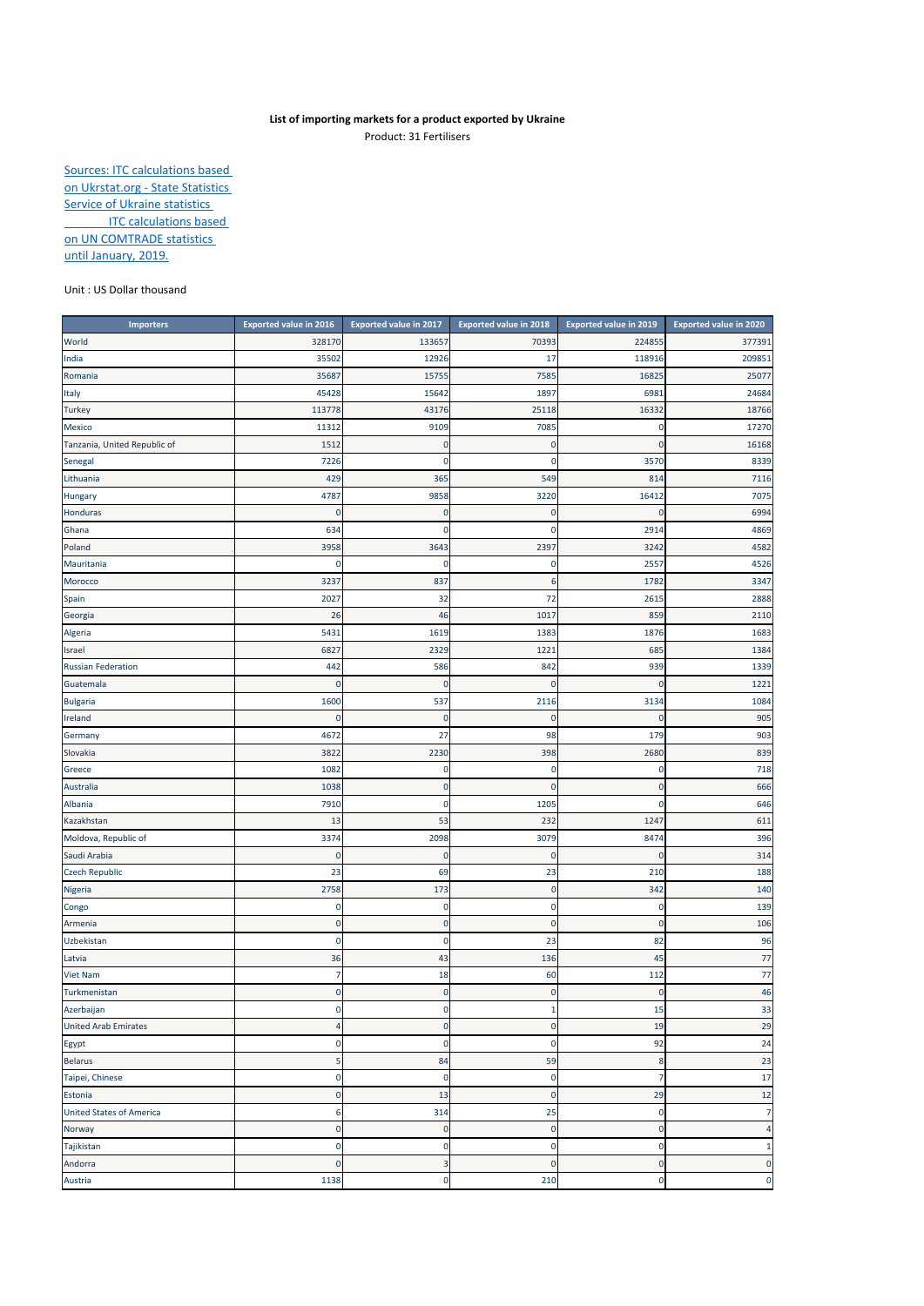## **List of importing markets for a product exported by Ukraine**

Product: 31 Fertilisers

Sources: ITC calculations based on Ukrstat.org - State Statistics Service of Ukraine statistics **ITC calculations based** on UN COMTRADE statistics until January, 2019.

## Unit : US Dollar thousand

| <b>Importers</b>                | Exported value in 2016 | <b>Exported value in 2017</b> | <b>Exported value in 2018</b> | <b>Exported value in 2019</b> | <b>Exported value in 2020</b> |
|---------------------------------|------------------------|-------------------------------|-------------------------------|-------------------------------|-------------------------------|
| World                           | 328170                 | 133657                        | 70393                         | 224855                        | 377391                        |
| India                           | 35502                  | 12926                         | 17                            | 118916                        | 209851                        |
| Romania                         | 35687                  | 15755                         | 7585                          | 16825                         | 25077                         |
| Italy                           | 45428                  | 15642                         | 1897                          | 6981                          | 24684                         |
| <b>Turkey</b>                   | 113778                 | 43176                         | 25118                         | 16332                         | 18766                         |
| Mexico                          | 11312                  | 9109                          | 7085                          | $\Omega$                      | 17270                         |
| Tanzania, United Republic of    | 1512                   | 0                             | 0                             |                               | 16168                         |
| Senegal                         | 7226                   | $\mathbf 0$                   | 0                             | 3570                          | 8339                          |
| Lithuania                       | 429                    | 365                           | 549                           | 814                           | 7116                          |
| Hungary                         | 4787                   | 9858                          | 3220                          | 16412                         | 7075                          |
| Honduras                        | 0                      | $\mathbf 0$                   | $\mathbf 0$                   |                               | 6994                          |
| Ghana                           | 634                    | 0                             | 0                             | 2914                          | 4869                          |
| Poland                          | 3958                   | 3643                          | 2397                          | 3242                          | 4582                          |
| Mauritania                      | 0                      | 0                             | 0                             | 2557                          | 4526                          |
| Morocco                         | 3237                   | 837                           | 6                             | 1782                          | 3347                          |
| Spain                           | 2027                   | 32                            | 72                            | 2615                          | 2888                          |
| Georgia                         | 26                     | 46                            | 1017                          | 859                           | 2110                          |
| Algeria                         | 5431                   | 1619                          | 1383                          | 1876                          | 1683                          |
| Israel                          | 6827                   | 2329                          | 1221                          | 685                           | 1384                          |
| <b>Russian Federation</b>       | 442                    | 586                           | 842                           | 939                           | 1339                          |
| Guatemala                       | 0                      | C                             | 0                             |                               | 1221                          |
| <b>Bulgaria</b>                 | 1600                   | 537                           | 2116                          | 3134                          | 1084                          |
| Ireland                         | 0                      | C                             | 0                             |                               | 905                           |
| Germany                         | 4672                   | 27                            | 98                            | 179                           | 903                           |
| Slovakia                        | 3822                   | 2230                          | 398                           | 2680                          | 839                           |
| Greece                          | 1082                   | 0                             | 0                             | 0                             | 718                           |
| Australia                       | 1038                   | $\mathbf{0}$                  | $\mathbf 0$                   | $\mathbf{0}$                  | 666                           |
| Albania                         | 7910                   | $\bf{0}$                      | 1205                          | $\mathbf 0$                   | 646                           |
| Kazakhstan                      | 13                     | 53                            | 232                           | 1247                          | 611                           |
| Moldova, Republic of            | 3374                   | 2098                          | 3079                          | 8474                          | 396                           |
| Saudi Arabia                    | 0                      | 0                             | $\bf 0$                       | $\Omega$                      | 314                           |
| <b>Czech Republic</b>           | 23                     | 69                            | 23                            | 210                           | 188                           |
| Nigeria                         | 2758                   | 173                           | $\mathbf 0$                   | 342                           | 140                           |
| Congo                           | 0                      | 0                             | 0                             | 0                             | 139                           |
| Armenia                         | 0                      | 0                             | 0                             | 0                             | 106                           |
| Uzbekistan                      | 0                      | $\mathbf 0$                   | 23                            | 82                            | 96                            |
| Latvia                          | 36                     | 43                            | 136                           | 45                            | 77                            |
| Viet Nam                        | 7                      | 18                            | 60                            | 112                           | 77                            |
| Turkmenistan                    | $\bf 0$                | $\mathbf 0$                   | $\bf 0$                       | $\mathbf{0}$                  | 46                            |
| Azerbaijan                      | 0                      | 0                             | 1                             | 15                            | 33                            |
| <b>United Arab Emirates</b>     | 4                      | $\mathbf 0$                   | $\bf 0$                       | 19                            | 29                            |
| Egypt                           | $\pmb{0}$              | $\bf{0}$                      | $\bf{0}$                      | 92                            | 24                            |
| <b>Belarus</b>                  | 5                      | 84                            | 59                            | 8                             | 23                            |
| Taipei, Chinese                 | 0                      | $\mathbf 0$                   | $\bf{0}$                      | $\overline{7}$                | 17                            |
| Estonia                         | $\pmb{0}$              | 13                            | $\bf 0$                       | 29                            | 12                            |
| <b>United States of America</b> | 6                      | 314                           | 25                            | $\mathbf 0$                   | $\overline{7}$                |
| Norway                          | $\pmb{0}$              | $\bf 0$                       | $\mathbf 0$                   | $\mathbf 0$                   | $\overline{a}$                |
| Tajikistan                      | 0                      | $\bf{0}$                      | 0                             | 0                             | $\mathbf{1}$                  |
| Andorra                         | $\pmb{0}$              | 3                             | $\mathbf 0$                   | $\mathbf 0$                   | $\pmb{0}$                     |
| Austria                         | 1138                   | $\bf{0}$                      | 210                           | $\bf{0}$                      | $\mathbf 0$                   |